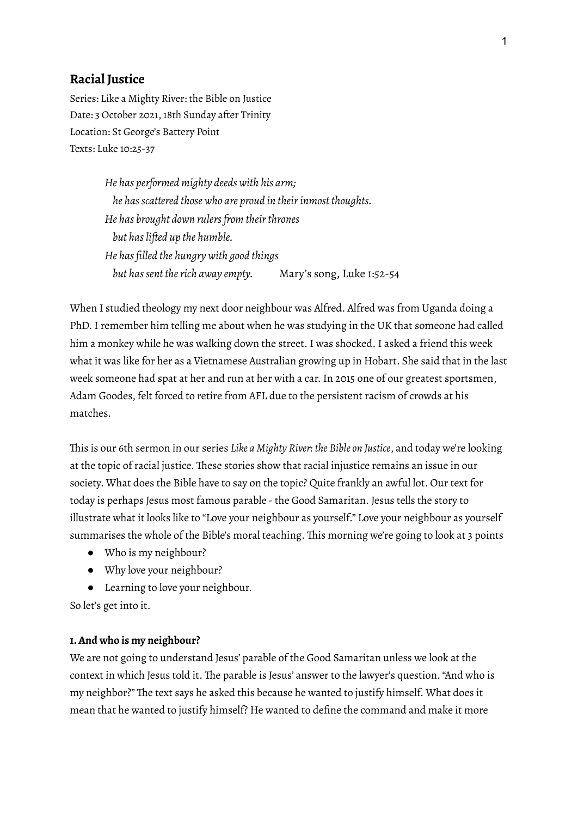# **Racial Justice**

Series: Like a Mighty River: the Bible on Justice Date: 3 October 2021, 18th Sunday after Trinity Location: St George's Battery Point Texts: Luke 10:25-37

> *He has performed mighty deeds with his arm; he hasscattered those who are proud in theirinmost thoughts. He has brought down rulersfrom theirthrones but haslifted up the humble. He has filled the hungry with good things but hassent therich away empty.* Mary's song, Luke 1:52-54

When I studied theology my next door neighbour was Alfred. Alfred was from Uganda doing a PhD.I remember him telling me about when he was studying in the UK that someone had called him a monkey while he was walking down the street. I was shocked. I asked a friend this week what it was like for her as a Vietnamese Australian growing up in Hobart. She said that in the last week someone had spat at her and run at her with a car.In 2015 one of our greatest sportsmen, Adam Goodes, felt forced to retire from AFL due to the persistent racism of crowds at his matches.

This is our 6th sermon in our series *Like a Mighty River: the Bible on Justice*, and today we're looking at the topic of racial justice. These stories show that racial injustice remains an issue in our society. What does the Bible have to say on the topic? Quite frankly an awful lot. Our text for today is perhaps Jesus most famous parable -the Good Samaritan. Jesus tells the story to illustrate what it looks like to "Love your neighbour as yourself." Love your neighbour as yourself summarises the whole of the Bible's moral teaching. This morning we're going to look at 3 points

- Who is my neighbour?
- Why love your neighbour?
- Learning to love your neighbour.

So let's get into it.

#### **1.And who is my neighbour?**

We are not going to understand Jesus' parable of the Good Samaritan unless we look at the context in which Jesus told it. The parable is Jesus' answer to the lawyer's question."And who is my neighbor?" The text says he asked this because he wanted to justify himself. What does it mean that he wanted to justify himself? He wanted to define the command and make it more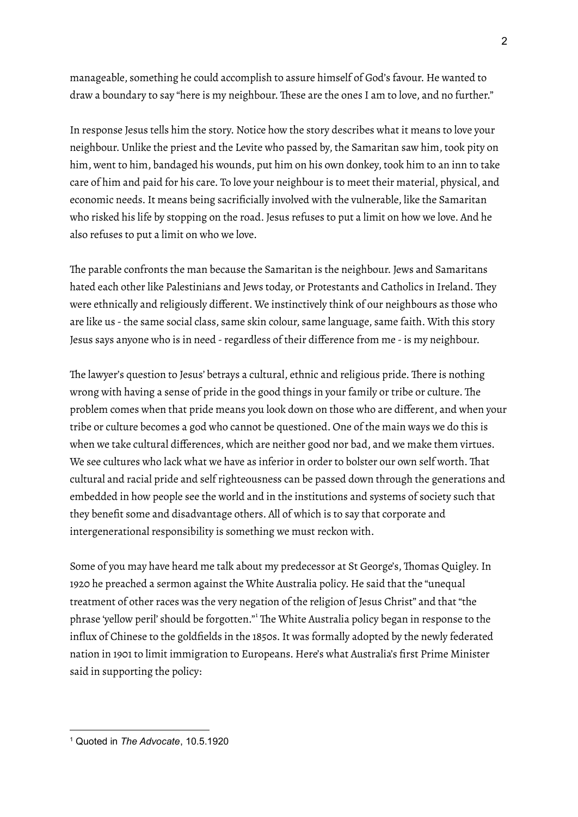manageable, something he could accomplish to assure himself of God's favour. He wanted to draw a boundary to say "here is my neighbour. These are the ones I am to love, and no further."

In response Jesus tells him the story. Notice how the story describes what it means to love your neighbour. Unlike the priest and the Levite who passed by, the Samaritan saw him, took pity on him, went to him, bandaged his wounds, put him on his own donkey, took him to an inn to take care of him and paid for his care. To love your neighbour is to meet their material, physical, and economic needs.It means being sacrificially involved with the vulnerable, like the Samaritan who risked his life by stopping on the road. Jesus refuses to put a limit on how we love. And he also refuses to put a limit on who we love.

The parable confronts the man because the Samaritan is the neighbour. Jews and Samaritans hated each other like Palestinians and Jews today, or Protestants and Catholics in Ireland. They were ethnically and religiously different. We instinctively think of our neighbours as those who are like us - the same social class, same skin colour, same language, same faith. With this story Jesus says anyone who is in need - regardless of their difference from me - is my neighbour.

The lawyer's question to Jesus' betrays a cultural, ethnic and religious pride. There is nothing wrong with having a sense of pride in the good things in your family or tribe or culture. The problem comes when that pride means you look down on those who are different, and when your tribe or culture becomes a god who cannot be questioned. One of the main ways we do this is when we take cultural differences, which are neither good nor bad, and we make them virtues. We see cultures who lack what we have as inferior in order to bolster our own self worth. That cultural and racial pride and self righteousness can be passed down through the generations and embedded in how people see the world and in the institutions and systems of society such that they benefit some and disadvantage others. All of which is to say that corporate and intergenerational responsibility is something we must reckon with.

Some of you may have heard me talk about my predecessor at St George's, Thomas Quigley.In 1920 he preached a sermon against the White Australia policy. He said that the "unequal treatment of other races was the very negation of the religion of Jesus Christ" and that "the phrase 'yellow peril' should be forgotten." <sup>1</sup> The White Australia policy began in response to the influx of Chinese to the goldfields in the 1850s. It was formally adopted by the newly federated nation in 1901 to limit immigration to Europeans. Here's what Australia's first Prime Minister said in supporting the policy:

<sup>1</sup> Quoted in *The Advocate*, 10.5.1920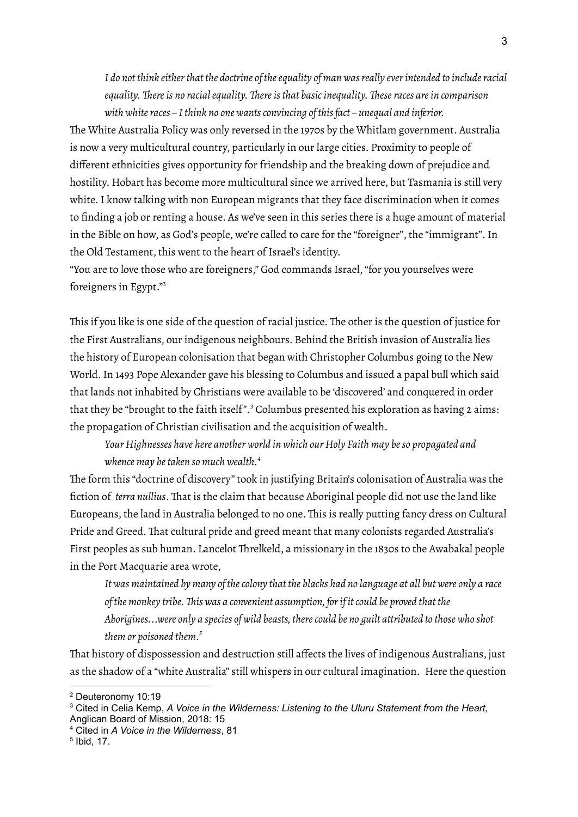*I do not think eitherthat the doctrine of theequality of man wasreally everintended to includeracial equality. Thereis no racialequality. Thereisthat basicinequality. Theseraces arein comparison with whiteraces – Ithink no one wantsconvincing of thisfact – unequal and inferior.*

The White Australia Policy was only reversed in the 1970s by the Whitlam government. Australia is now a very multicultural country, particularly in our large cities. Proximity to people of different ethnicities gives opportunity for friendship and the breaking down of prejudice and hostility. Hobart has become more multicultural since we arrived here, but Tasmania is still very white.I know talking with non European migrants that they face discrimination when it comes to finding a job or renting a house. As we've seen in this series there is a huge amount of material in the Bible on how, as God's people, we're called to care for the "foreigner", the "immigrant". In the Old Testament, this went to the heart of Israel's identity.

"You are to love those who are foreigners," God commands Israel,"for you yourselves were foreigners in Egypt." 2

This if you like is one side of the question of racial justice. The other is the question of justice for the First Australians, our indigenous neighbours. Behind the British invasion of Australia lies the history of European colonisation that began with Christopher Columbus going to the New World.In 1493 Pope Alexander gave his blessing to Columbus and issued a papal bull which said that lands not inhabited by Christians were available to be 'discovered' and conquered in order that they be "brought to the faith itself". <sup>3</sup> Columbus presented his exploration as having 2 aims: the propagation of Christian civilisation and the acquisition of wealth.

*Your Highnesses have here another world in which our Holy Faith may beso propagated and whence may betaken so much wealth. 4*

The form this "doctrine of discovery" took in justifying Britain's colonisation of Australia was the fiction of *terra nullius*. That is the claim that because Aboriginal people did not use the land like Europeans, the land in Australia belonged to no one. This is really putting fancy dress on Cultural Pride and Greed. That cultural pride and greed meant that many colonists regarded Australia's First peoples as sub human. Lancelot Threlkeld, a missionary in the 1830s to the Awabakal people in the Port Macquarie area wrote,

It was maintained by many of the colony that the blacks had no language at all but were only a race *of the monkey tribe. This was a convenient assumption, forif itcould be proved that the Aborigines...were only a species of wild beasts, therecould be no guilt attributed to those who shot them or poisoned them. 5*

That history of dispossession and destruction still affects the lives of indigenous Australians, just as the shadow of a "white Australia" still whispers in our cultural imagination. Here the question

<sup>2</sup> Deuteronomy 10:19

<sup>3</sup> Cited in Celia Kemp, *A Voice in the Wilderness: Listening to the Uluru Statement from the Heart,* Anglican Board of Mission, 2018: 15

<sup>4</sup> Cited in *A Voice in the Wilderness*, 81

<sup>5</sup> Ibid, 17.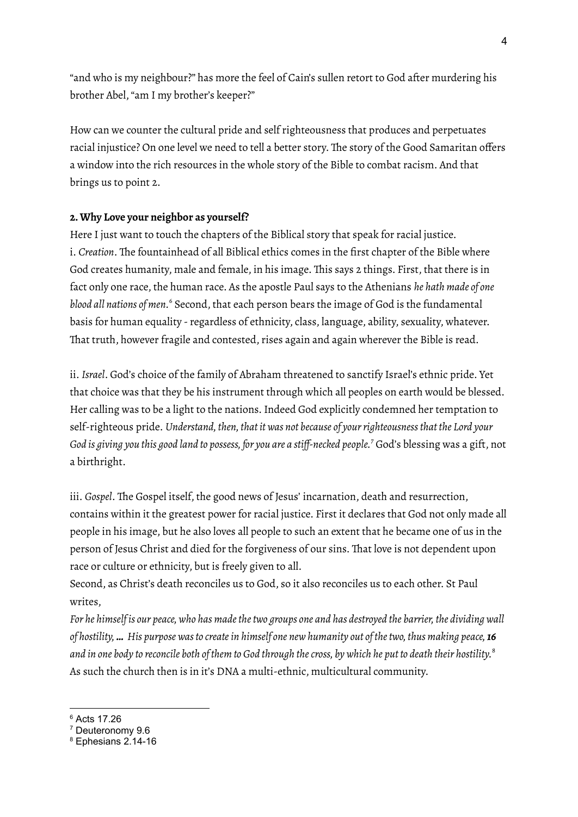"and who is my neighbour?" has more the feel of Cain's sullen retort to God after murdering his brother Abel,"am I my brother's keeper?"

How can we counter the cultural pride and self righteousness that produces and perpetuates racial injustice? On one level we need to tell a better story. The story of the Good Samaritan offers a window into the rich resources in the whole story of the Bible to combat racism. And that brings us to point 2.

## **2.Why Love your neighbor as yourself?**

Here I just want to touch the chapters of the Biblical story that speak for racial justice. i. *Creation*. The fountainhead of all Biblical ethics comes in the first chapter of the Bible where God creates humanity, male and female, in his image. This says 2 things. First, that there is in fact only one race, the human race. As the apostle Paul says to the Athenians *he hath made of one blood all nations of men.* <sup>6</sup> Second, that each person bears the image of God is the fundamental basis for human equality -regardless of ethnicity, class, language, ability, sexuality, whatever. That truth, however fragile and contested, rises again and again wherever the Bible is read.

ii. *Israel*. God's choice of the family of Abraham threatened to sanctify Israel's ethnic pride. Yet that choice was that they be his instrument through which all peoples on earth would be blessed. Her calling was to be a light to the nations. Indeed God explicitly condemned her temptation to self-righteous pride. *Understand, then, that it was not because of yourrighteousnessthat the Lord your God is giving you this good land to possess, for you are a stiff-necked people. <sup>7</sup>* God's blessing was a gift, not a birthright.

iii. *Gospel*. The Gospel itself, the good news of Jesus' incarnation, death and resurrection, contains within it the greatest power for racial justice. First it declares that God not only made all people in his image, but he also loves all people to such an extent that he became one of us in the person of Jesus Christ and died for the forgiveness of our sins. That love is not dependent upon race or culture or ethnicity, but is freely given to all.

Second, as Christ's death reconciles us to God, so it also reconciles us to each other. St Paul writes,

For he himself is our peace, who has made the two groups one and has destroyed the barrier, the dividing wall of hostility, ... His purpose was to create in himself one new humanity out of the two, thus making peace, 16 and in one body to reconcile both of them to God through the cross, by which he put to death their hostility. $^{\rm s}$ As such the church then is in it's DNA a multi-ethnic, multicultural community.

<sup>&</sup>lt;sup>6</sup> Acts 17.26

<sup>7</sup> Deuteronomy 9.6

<sup>8</sup> Ephesians 2.14-16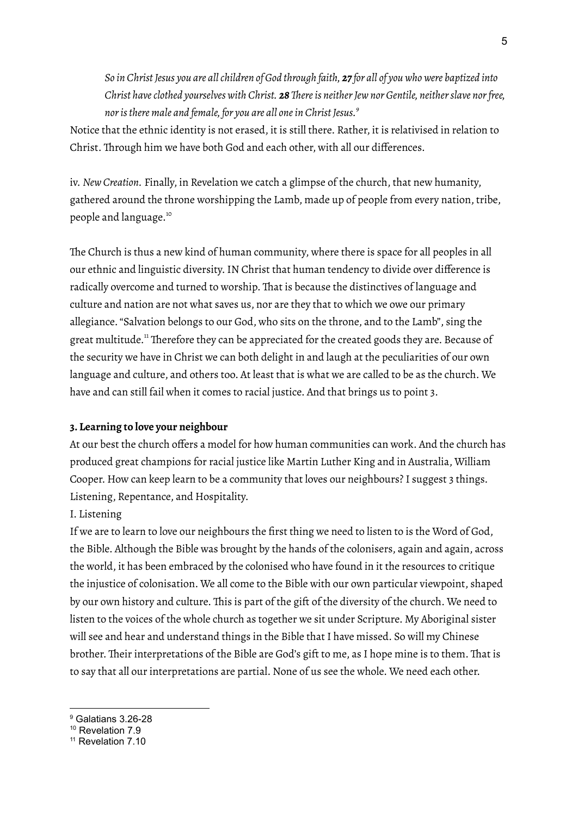So in Christ Jesus you are all children of God through faith, 27 for all of you who were baptized into *Christ haveclothed yourselves with Christ. 28Thereis neitherJew nor Gentile, neitherslave norfree, noristhere male and female, for you are all onein Christ Jesus. 9*

Notice that the ethnic identity is not erased, it is still there. Rather, it is relativised in relation to Christ. Through him we have both God and each other, with all our differences.

iv. *New Creation.* Finally, in Revelation we catch a glimpse of the church, that new humanity, gathered around the throne worshipping the Lamb, made up of people from every nation, tribe, people and language. 10

The Church is thus a new kind of human community, where there is space for all peoples in all our ethnic and linguistic diversity.IN Christ that human tendency to divide over difference is radically overcome and turned to worship. That is because the distinctives of language and culture and nation are not what saves us, nor are they that to which we owe our primary allegiance."Salvation belongs to our God, who sits on the throne, and to the Lamb", sing the great multitude.<sup>11</sup> Therefore they can be appreciated for the created goods they are. Because of the security we have in Christ we can both delight in and laugh at the peculiarities of our own language and culture, and others too. At least that is what we are called to be as the church. We have and can still fail when it comes to racial justice. And that brings us to point 3.

### **3. Learning to love your neighbour**

At our best the church offers a model for how human communities can work. And the church has produced great champions for racial justice like Martin Luther King and in Australia, William Cooper. How can keep learn to be a community that loves our neighbours? I suggest 3 things. Listening, Repentance, and Hospitality.

### I. Listening

If we are to learn to love our neighbours the first thing we need to listen to is the Word of God, the Bible. Although the Bible was brought by the hands of the colonisers, again and again, across the world, it has been embraced by the colonised who have found in it the resources to critique the injustice of colonisation. We all come to the Bible with our own particular viewpoint, shaped by our own history and culture. This is part of the gift of the diversity of the church. We need to listen to the voices of the whole church as together we sit under Scripture. My Aboriginal sister will see and hear and understand things in the Bible that I have missed. So will my Chinese brother. Their interpretations of the Bible are God's gift to me, as I hope mine is to them. That is to say that all our interpretations are partial. None of us see the whole. We need each other.

<sup>9</sup> Galatians 3.26-28

<sup>10</sup> Revelation 7.9

<sup>&</sup>lt;sup>11</sup> Revelation 7 10